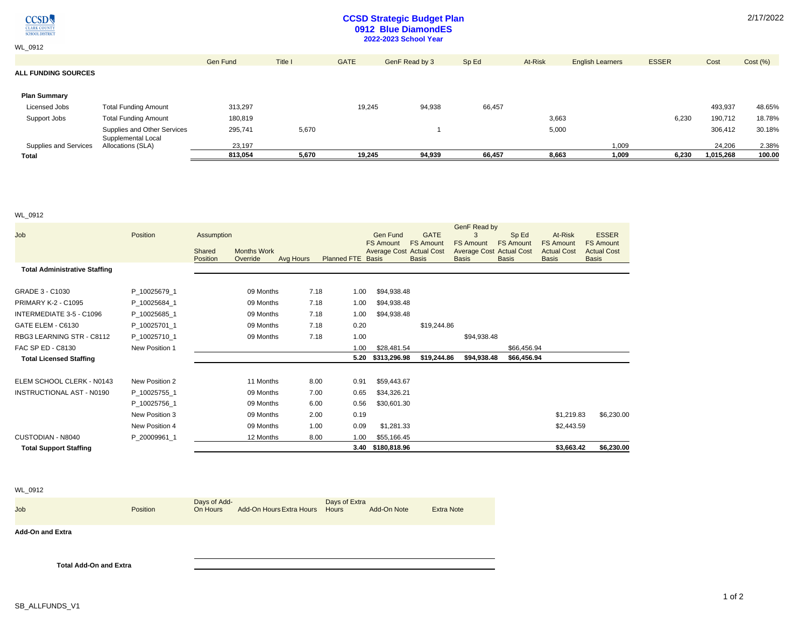$\underset{\frac{\text{CLARK COUNT}}{\text{C}\text{LARK COUNT}}} {\text{CCSD}}$ 

WL\_0912

## **CCSD Strategic Budget Plan 0912 Blue DiamondES 2022-2023 School Year**

| <b>Total</b>               |                                         | 813.054         | 5,670   | 19,245      | 94,939         | 66,457 | 8,663   | 1,009                   | 6.230        | 1,015,268 | 100.00   |
|----------------------------|-----------------------------------------|-----------------|---------|-------------|----------------|--------|---------|-------------------------|--------------|-----------|----------|
| Supplies and Services      | Supplemental Local<br>Allocations (SLA) | 23.197          |         |             |                |        |         | 1.009                   |              | 24.206    | 2.38%    |
|                            | Supplies and Other Services             | 295,741         | 5,670   |             |                |        | 5,000   |                         |              | 306,412   | 30.18%   |
| Support Jobs               | <b>Total Funding Amount</b>             | 180,819         |         |             |                |        | 3,663   |                         | 6,230        | 190,712   | 18.78%   |
| Licensed Jobs              | <b>Total Funding Amount</b>             | 313,297         |         | 19,245      | 94,938         | 66,457 |         |                         |              | 493,937   | 48.65%   |
| <b>Plan Summary</b>        |                                         |                 |         |             |                |        |         |                         |              |           |          |
| <b>ALL FUNDING SOURCES</b> |                                         |                 |         |             |                |        |         |                         |              |           |          |
|                            |                                         | <b>Gen Fund</b> | Title I | <b>GATE</b> | GenF Read by 3 | Sp Ed  | At-Risk | <b>English Learners</b> | <b>ESSER</b> | Cost      | Cost (%) |
|                            |                                         |                 |         |             |                |        |         |                         |              |           |          |

### WL\_0912

|                                      |                |                    |                                |           |                   |                   |                 |                                                 | GenF Read by                                    |                  |                                    |                                    |
|--------------------------------------|----------------|--------------------|--------------------------------|-----------|-------------------|-------------------|-----------------|-------------------------------------------------|-------------------------------------------------|------------------|------------------------------------|------------------------------------|
| Job                                  | Position       | Assumption         |                                |           |                   |                   | <b>Gen Fund</b> | <b>GATE</b>                                     | 3                                               | Sp Ed            | At-Risk                            | <b>ESSER</b>                       |
|                                      |                |                    |                                |           |                   | <b>FS Amount</b>  |                 | <b>FS Amount</b>                                | <b>FS Amount</b>                                | <b>FS Amount</b> | <b>FS Amount</b>                   | <b>FS Amount</b>                   |
|                                      |                | Shared<br>Position | <b>Months Work</b><br>Override | Avg Hours | Planned FTE Basis |                   |                 | <b>Average Cost Actual Cost</b><br><b>Basis</b> | <b>Average Cost Actual Cost</b><br><b>Basis</b> | <b>Basis</b>     | <b>Actual Cost</b><br><b>Basis</b> | <b>Actual Cost</b><br><b>Basis</b> |
| <b>Total Administrative Staffing</b> |                |                    |                                |           |                   |                   |                 |                                                 |                                                 |                  |                                    |                                    |
| GRADE 3 - C1030                      | P_10025679_1   |                    | 09 Months                      |           | 7.18<br>1.00      |                   | \$94,938.48     |                                                 |                                                 |                  |                                    |                                    |
| <b>PRIMARY K-2 - C1095</b>           | P_10025684_1   |                    | 09 Months                      |           | 7.18<br>1.00      |                   | \$94,938.48     |                                                 |                                                 |                  |                                    |                                    |
| INTERMEDIATE 3-5 - C1096             | P_10025685_1   |                    | 09 Months                      |           | 7.18<br>1.00      |                   | \$94,938.48     |                                                 |                                                 |                  |                                    |                                    |
| GATE ELEM - C6130                    | P_10025701_1   |                    | 09 Months                      |           | 0.20<br>7.18      |                   |                 | \$19,244.86                                     |                                                 |                  |                                    |                                    |
| RBG3 LEARNING STR - C8112            | P 10025710 1   |                    | 09 Months                      |           | 7.18<br>1.00      |                   |                 |                                                 | \$94,938.48                                     |                  |                                    |                                    |
| FAC SP ED - C8130                    | New Position 1 |                    |                                |           | 1.00              |                   | \$28,481.54     |                                                 |                                                 | \$66,456.94      |                                    |                                    |
| <b>Total Licensed Staffing</b>       |                |                    |                                |           | 5.20              |                   | \$313,296.98    | \$19,244.86                                     | \$94,938.48                                     | \$66,456.94      |                                    |                                    |
| ELEM SCHOOL CLERK - N0143            | New Position 2 |                    | 11 Months                      |           | 8.00<br>0.91      |                   | \$59,443.67     |                                                 |                                                 |                  |                                    |                                    |
| <b>INSTRUCTIONAL AST - N0190</b>     | P_10025755_1   |                    | 09 Months                      |           | 7.00<br>0.65      |                   | \$34,326.21     |                                                 |                                                 |                  |                                    |                                    |
|                                      | P 10025756 1   |                    | 09 Months                      |           | 6.00<br>0.56      |                   | \$30,601.30     |                                                 |                                                 |                  |                                    |                                    |
|                                      | New Position 3 |                    | 09 Months                      |           | 0.19<br>2.00      |                   |                 |                                                 |                                                 |                  | \$1,219.83                         | \$6,230.00                         |
|                                      | New Position 4 |                    | 09 Months                      |           | 1.00<br>0.09      |                   | \$1,281.33      |                                                 |                                                 |                  | \$2,443.59                         |                                    |
| CUSTODIAN - N8040                    | P_20009961_1   |                    | 12 Months                      |           | 8.00<br>1.00      |                   | \$55,166.45     |                                                 |                                                 |                  |                                    |                                    |
| <b>Total Support Staffing</b>        |                |                    |                                |           |                   | 3.40 \$180,818.96 |                 |                                                 |                                                 |                  | \$3,663.42                         | \$6,230.00                         |

### WL\_0912

| Job | <b>Position</b> | Days of Add-<br>On Hours | Add-On Hours Extra Hours Hours | Days of Extra | Add-On Note | <b>Extra Note</b> |
|-----|-----------------|--------------------------|--------------------------------|---------------|-------------|-------------------|
|     |                 |                          |                                |               |             |                   |

**Add-On and Extra**

**Total Add-On and Extra**